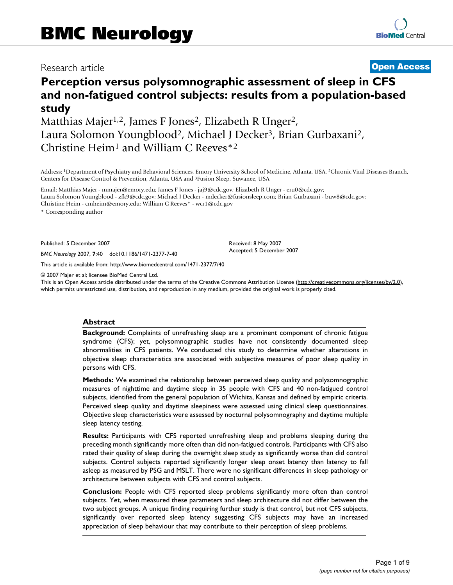# Research article **[Open Access](http://www.biomedcentral.com/info/about/charter/)**

# **Perception versus polysomnographic assessment of sleep in CFS and non-fatigued control subjects: results from a population-based study**

Matthias Majer<sup>1,2</sup>, James F Jones<sup>2</sup>, Elizabeth R Unger<sup>2</sup>, Laura Solomon Youngblood<sup>2</sup>, Michael J Decker<sup>3</sup>, Brian Gurbaxani<sup>2</sup>, Christine Heim1 and William C Reeves\*2

Address: 1Department of Psychiatry and Behavioral Sciences, Emory University School of Medicine, Atlanta, USA, 2Chronic Viral Diseases Branch, Centers for Disease Control & Prevention, Atlanta, USA and 3Fusion Sleep, Suwanee, USA

Email: Matthias Majer - mmajer@emory.edu; James F Jones - jaj9@cdc.gov; Elizabeth R Unger - eru0@cdc.gov; Laura Solomon Youngblood - zfk9@cdc.gov; Michael J Decker - mdecker@fusionsleep.com; Brian Gurbaxani - buw8@cdc.gov; Christine Heim - cmheim@emory.edu; William C Reeves\* - wcr1@cdc.gov

\* Corresponding author

Published: 5 December 2007

*BMC Neurology* 2007, **7**:40 doi:10.1186/1471-2377-7-40

[This article is available from: http://www.biomedcentral.com/1471-2377/7/40](http://www.biomedcentral.com/1471-2377/7/40)

© 2007 Majer et al; licensee BioMed Central Ltd.

This is an Open Access article distributed under the terms of the Creative Commons Attribution License [\(http://creativecommons.org/licenses/by/2.0\)](http://creativecommons.org/licenses/by/2.0), which permits unrestricted use, distribution, and reproduction in any medium, provided the original work is properly cited.

Received: 8 May 2007 Accepted: 5 December 2007

#### **Abstract**

**Background:** Complaints of unrefreshing sleep are a prominent component of chronic fatigue syndrome (CFS); yet, polysomnographic studies have not consistently documented sleep abnormalities in CFS patients. We conducted this study to determine whether alterations in objective sleep characteristics are associated with subjective measures of poor sleep quality in persons with CFS.

**Methods:** We examined the relationship between perceived sleep quality and polysomnographic measures of nighttime and daytime sleep in 35 people with CFS and 40 non-fatigued control subjects, identified from the general population of Wichita, Kansas and defined by empiric criteria. Perceived sleep quality and daytime sleepiness were assessed using clinical sleep questionnaires. Objective sleep characteristics were assessed by nocturnal polysomnography and daytime multiple sleep latency testing.

**Results:** Participants with CFS reported unrefreshing sleep and problems sleeping during the preceding month significantly more often than did non-fatigued controls. Participants with CFS also rated their quality of sleep during the overnight sleep study as significantly worse than did control subjects. Control subjects reported significantly longer sleep onset latency than latency to fall asleep as measured by PSG and MSLT. There were no significant differences in sleep pathology or architecture between subjects with CFS and control subjects.

**Conclusion:** People with CFS reported sleep problems significantly more often than control subjects. Yet, when measured these parameters and sleep architecture did not differ between the two subject groups. A unique finding requiring further study is that control, but not CFS subjects, significantly over reported sleep latency suggesting CFS subjects may have an increased appreciation of sleep behaviour that may contribute to their perception of sleep problems.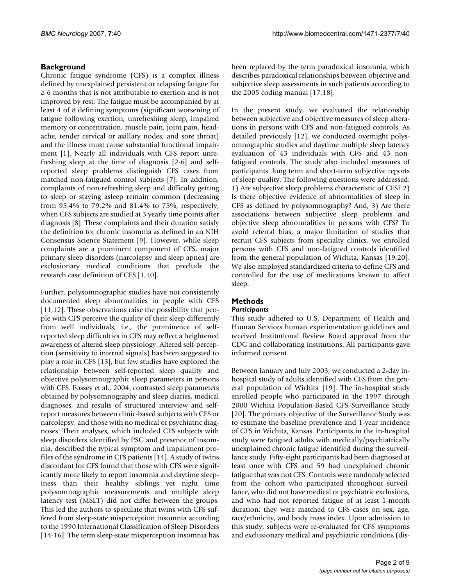# **Background**

Chronic fatigue syndrome (CFS) is a complex illness defined by unexplained persistent or relapsing fatigue for ≥ 6 months that is not attributable to exertion and is not improved by rest. The fatigue must be accompanied by at least 4 of 8 defining symptoms (significant worsening of fatigue following exertion, unrefreshing sleep, impaired memory or concentration, muscle pain, joint pain, headache, tender cervical or axillary nodes, and sore throat) and the illness must cause substantial functional impairment [1]. Nearly all individuals with CFS report unrefreshing sleep at the time of diagnosis [2-6] and selfreported sleep problems distinguish CFS cases from matched non-fatigued control subjects [7]. In addition, complaints of non-refreshing sleep and difficulty getting to sleep or staying asleep remain common (decreasing from 95.4% to 79.2% and 81.4% to 75%, respectively, when CFS subjects are studied at 3 yearly time points after diagnosis [8]. These complaints and their duration satisfy the definition for chronic insomnia as defined in an NIH Consensus Science Statement [9]. However, while sleep complaints are a prominent component of CFS, major primary sleep disorders (narcolepsy and sleep apnea) are exclusionary medical conditions that preclude the research case definition of CFS [1,10].

Further, polysomnographic studies have not consistently documented sleep abnormalities in people with CFS [11,12]. These observations raise the possibility that people with CFS perceive the quality of their sleep differently from well individuals; i.e., the prominence of selfreported sleep difficulties in CFS may reflect a heightened awareness of altered sleep physiology. Altered self-perception (sensitivity to internal signals) has been suggested to play a role in CFS [13], but few studies have explored the relationship between self-reported sleep quality and objective polysomnographic sleep parameters in persons with CFS. Fossey et al., 2004, contrasted sleep parameters obtained by polysomnography and sleep diaries, medical diagnoses, and results of structured interview and selfreport measures between clinic-based subjects with CFS or narcolepsy, and those with no medical or psychiatric diagnoses. Their analyses, which included CFS subjects with sleep disorders identified by PSG and presence of insomnia, described the typical symptom and impairment profiles of the syndrome in CFS patients [14]. A study of twins discordant for CFS found that those with CFS were significantly more likely to report insomnia and daytime sleepiness than their healthy siblings yet night time polysomnographic measurements and multiple sleep latency test (MSLT) did not differ between the groups. This led the authors to speculate that twins with CFS suffered from sleep-state misperception insomnia according to the 1990 International Classification of Sleep Disorders [14-16]. The term sleep-state misperception insomnia has

been replaced by the term paradoxical insomnia, which describes paradoxical relationships between objective and subjective sleep assessments in such patients according to the 2005 coding manual [17,18].

In the present study, we evaluated the relationship between subjective and objective measures of sleep alterations in persons with CFS and non-fatigued controls. As detailed previously [12], we conducted overnight polysomnographic studies and daytime multiple sleep latency evaluation of 43 individuals with CFS and 43 nonfatigued controls. The study also included measures of participants' long term and short-term subjective reports of sleep quality. The following questions were addressed: 1) Are subjective sleep problems characteristic of CFS? 2) Is there objective evidence of abnormalities of sleep in CFS as defined by polysomnography? And, 3) Are there associations between subjective sleep problems and objective sleep abnormalities in persons with CFS? To avoid referral bias, a major limitation of studies that recruit CFS subjects from specialty clinics, we enrolled persons with CFS and non-fatigued controls identified from the general population of Wichita, Kansas [19,20]. We also employed standardized criteria to define CFS and controlled for the use of medications known to affect sleep.

# **Methods**

# *Participants*

This study adhered to U.S. Department of Health and Human Services human experimentation guidelines and received Institutional Review Board approval from the CDC and collaborating institutions. All participants gave informed consent.

Between January and July 2003, we conducted a 2-day inhospital study of adults identified with CFS from the general population of Wichita [19]. The in-hospital study enrolled people who participated in the 1997 through 2000 Wichita Population-Based CFS Surveillance Study [20]. The primary objective of the Surveillance Study was to estimate the baseline prevalence and 1-year incidence of CFS in Wichita, Kansas. Participants in the in-hospital study were fatigued adults with medically/psychiatrically unexplained chronic fatigue identified during the surveillance study. Fifty-eight participants had been diagnosed at least once with CFS and 59 had unexplained chronic fatigue that was not CFS. Controls were randomly selected from the cohort who participated throughout surveillance, who did not have medical or psychiatric exclusions, and who had not reported fatigue of at least 1-month duration; they were matched to CFS cases on sex, age, race/ethnicity, and body mass index. Upon admission to this study, subjects were re-evaluated for CFS symptoms and exclusionary medical and psychiatric conditions (dis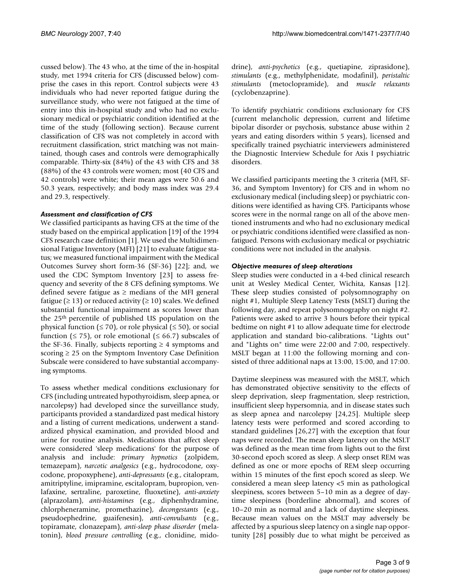cussed below). The 43 who, at the time of the in-hospital study, met 1994 criteria for CFS (discussed below) comprise the cases in this report. Control subjects were 43 individuals who had never reported fatigue during the surveillance study, who were not fatigued at the time of entry into this in-hospital study and who had no exclusionary medical or psychiatric condition identified at the time of the study (following section). Because current classification of CFS was not completely in accord with recruitment classification, strict matching was not maintained, though cases and controls were demographically comparable. Thirty-six (84%) of the 43 with CFS and 38 (88%) of the 43 controls were women; most (40 CFS and 42 controls) were white; their mean ages were 50.6 and 50.3 years, respectively; and body mass index was 29.4 and 29.3, respectively.

#### *Assessment and classification of CFS*

We classified participants as having CFS at the time of the study based on the empirical application [19] of the 1994 CFS research case definition [1]. We used the Multidimensional Fatigue Inventory (MFI) [21] to evaluate fatigue status; we measured functional impairment with the Medical Outcomes Survey short form-36 (SF-36) [22]; and, we used the CDC Symptom Inventory [23] to assess frequency and severity of the 8 CFS defining symptoms. We defined severe fatigue as  $\geq$  medians of the MFI general fatigue ( $\geq$  13) or reduced activity ( $\geq$  10) scales. We defined substantial functional impairment as scores lower than the 25th percentile of published US population on the physical function ( $\leq$  70), or role physical ( $\leq$  50), or social function ( $\leq$  75), or role emotional ( $\leq$  66.7) subscales of the SF-36. Finally, subjects reporting  $\geq 4$  symptoms and scoring  $\geq$  25 on the Symptom Inventory Case Definition Subscale were considered to have substantial accompanying symptoms.

To assess whether medical conditions exclusionary for CFS (including untreated hypothyroidism, sleep apnea, or narcolepsy) had developed since the surveillance study, participants provided a standardized past medical history and a listing of current medications, underwent a standardized physical examination, and provided blood and urine for routine analysis. Medications that affect sleep were considered 'sleep medications' for the purpose of analysis and include: *primary hypnotics* (zolpidem, temazepam), *narcotic analgesics* (e.g., hydrocodone, oxycodone, propoxyphene), *anti-depressants* (e.g., citalopram, amitriptyline, imipramine, escitalopram, bupropion, venlafaxine, sertraline, paroxetine, fluoxetine), *anti-anxiety* (alprazolam), *anti-histamines* (e.g., diphenhydramine, chlorpheneramine, promethazine), *decongestants* (e.g., pseudoephedrine, guaifenesin), *anti-convulsants* (e.g., topiramate, clonazepam), *anti-sleep phase disorder* (melatonin), *blood pressure controlling* (e.g., clonidine, midodrine), *anti-psychotics* (e.g., quetiapine, ziprasidone), *stimulants* (e.g., methylphenidate, modafinil), *peristaltic stimulants* (metoclopramide), and *muscle relaxants* (cyclobenzaprine).

To identify psychiatric conditions exclusionary for CFS (current melancholic depression, current and lifetime bipolar disorder or psychosis, substance abuse within 2 years and eating disorders within 5 years), licensed and specifically trained psychiatric interviewers administered the Diagnostic Interview Schedule for Axis I psychiatric disorders.

We classified participants meeting the 3 criteria (MFI, SF-36, and Symptom Inventory) for CFS and in whom no exclusionary medical (including sleep) or psychiatric conditions were identified as having CFS. Participants whose scores were in the normal range on all of the above mentioned instruments and who had no exclusionary medical or psychiatric conditions identified were classified as nonfatigued. Persons with exclusionary medical or psychiatric conditions were not included in the analysis.

#### *Objective measures of sleep alterations*

Sleep studies were conducted in a 4-bed clinical research unit at Wesley Medical Center, Wichita, Kansas [12]. These sleep studies consisted of polysomnography on night #1, Multiple Sleep Latency Tests (MSLT) during the following day, and repeat polysomnography on night #2. Patients were asked to arrive 3 hours before their typical bedtime on night #1 to allow adequate time for electrode application and standard bio-calibrations. "Lights out" and "Lights on" time were 22:00 and 7:00, respectively. MSLT began at 11:00 the following morning and consisted of three additional naps at 13:00, 15:00, and 17:00.

Daytime sleepiness was measured with the MSLT, which has demonstrated objective sensitivity to the effects of sleep deprivation, sleep fragmentation, sleep restriction, insufficient sleep hypersomnia, and in disease states such as sleep apnea and narcolepsy [24,25]. Multiple sleep latency tests were performed and scored according to standard guidelines [26,27] with the exception that four naps were recorded. The mean sleep latency on the MSLT was defined as the mean time from lights out to the first 30-second epoch scored as sleep. A sleep onset REM was defined as one or more epochs of REM sleep occurring within 15 minutes of the first epoch scored as sleep. We considered a mean sleep latency <5 min as pathological sleepiness, scores between 5–10 min as a degree of daytime sleepiness (borderline abnormal), and scores of 10–20 min as normal and a lack of daytime sleepiness. Because mean values on the MSLT may adversely be affected by a spurious sleep latency on a single nap opportunity [28] possibly due to what might be perceived as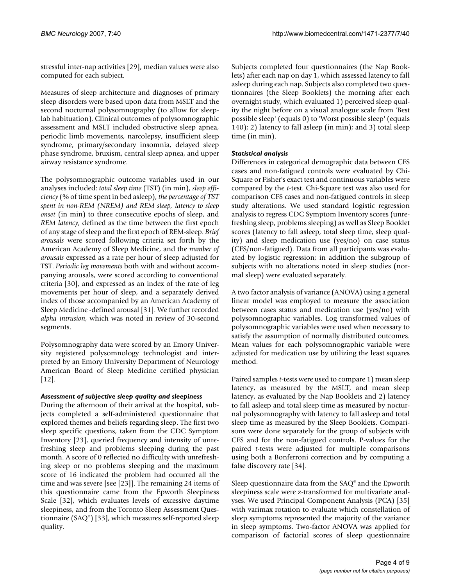stressful inter-nap activities [29], median values were also computed for each subject.

Measures of sleep architecture and diagnoses of primary sleep disorders were based upon data from MSLT and the second nocturnal polysomnography (to allow for sleeplab habituation). Clinical outcomes of polysomnographic assessment and MSLT included obstructive sleep apnea, periodic limb movements, narcolepsy, insufficient sleep syndrome, primary/secondary insomnia, delayed sleep phase syndrome, bruxism, central sleep apnea, and upper airway resistance syndrome.

The polysomnographic outcome variables used in our analyses included: *total sleep time* (TST) (in min), *sleep efficiency* (% of time spent in bed asleep), *the percentage of TST spent in non-REM (NREM) and REM sleep, latency to sleep onset* (in min) to three consecutive epochs of sleep, and *REM latency*, defined as the time between the first epoch of any stage of sleep and the first epoch of REM-sleep. *Brief arousals* were scored following criteria set forth by the American Academy of Sleep Medicine, and the *number of arousals* expressed as a rate per hour of sleep adjusted for TST. *Periodic leg movements* both with and without accompanying arousals, were scored according to conventional criteria [30], and expressed as an index of the rate of leg movements per hour of sleep, and a separately derived index of those accompanied by an American Academy of Sleep Medicine -defined arousal [31]. We further recorded *alpha intrusion*, which was noted in review of 30-second segments.

Polysomnography data were scored by an Emory University registered polysomnology technologist and interpreted by an Emory University Department of Neurology American Board of Sleep Medicine certified physician [12].

# *Assessment of subjective sleep quality and sleepiness*

During the afternoon of their arrival at the hospital, subjects completed a self-administered questionnaire that explored themes and beliefs regarding sleep. The first two sleep specific questions, taken from the CDC Symptom Inventory [23], queried frequency and intensity of unrefreshing sleep and problems sleeping during the past month. A score of 0 reflected no difficulty with unrefreshing sleep or no problems sleeping and the maximum score of 16 indicated the problem had occurred all the time and was severe [see [23]]. The remaining 24 items of this questionnaire came from the Epworth Sleepiness Scale [32], which evaluates levels of excessive daytime sleepiness, and from the Toronto Sleep Assessment Questionnaire (SAQ©) [33], which measures self-reported sleep quality.

Subjects completed four questionnaires (the Nap Booklets) after each nap on day 1, which assessed latency to fall asleep during each nap. Subjects also completed two questionnaires (the Sleep Booklets) the morning after each overnight study, which evaluated 1) perceived sleep quality the night before on a visual analogue scale from 'Best possible sleep' (equals 0) to 'Worst possible sleep' (equals 140); 2) latency to fall asleep (in min); and 3) total sleep time (in min).

#### *Statistical analysis*

Differences in categorical demographic data between CFS cases and non-fatigued controls were evaluated by Chi-Square or Fisher's exact test and continuous variables were compared by the *t*-test. Chi-Square test was also used for comparison CFS cases and non-fatigued controls in sleep study alterations. We used standard logistic regression analysis to regress CDC Symptom Inventory scores (unrefreshing sleep, problems sleeping) as well as Sleep Booklet scores (latency to fall asleep, total sleep time, sleep quality) and sleep medication use (yes/no) on case status (CFS/non-fatigued). Data from all participants was evaluated by logistic regression; in addition the subgroup of subjects with no alterations noted in sleep studies (normal sleep) were evaluated separately.

A two factor analysis of variance (ANOVA) using a general linear model was employed to measure the association between cases status and medication use (yes/no) with polysomnographic variables. Log transformed values of polysomnographic variables were used when necessary to satisfy the assumption of normally distributed outcomes. Mean values for each polysomnographic variable were adjusted for medication use by utilizing the least squares method.

Paired samples *t*-tests were used to compare 1) mean sleep latency, as measured by the MSLT, and mean sleep latency, as evaluated by the Nap Booklets and 2) latency to fall asleep and total sleep time as measured by nocturnal polysomnography with latency to fall asleep and total sleep time as measured by the Sleep Booklets. Comparisons were done separately for the group of subjects with CFS and for the non-fatigued controls. P-values for the paired *t*-tests were adjusted for multiple comparisons using both a Bonferroni correction and by computing a false discovery rate [34].

Sleep questionnaire data from the  $SAQ<sup>°</sup>$  and the Epworth sleepiness scale were z-transformed for multivariate analyses. We used Principal Component Analysis (PCA) [35] with varimax rotation to evaluate which constellation of sleep symptoms represented the majority of the variance in sleep symptoms. Two-factor ANOVA was applied for comparison of factorial scores of sleep questionnaire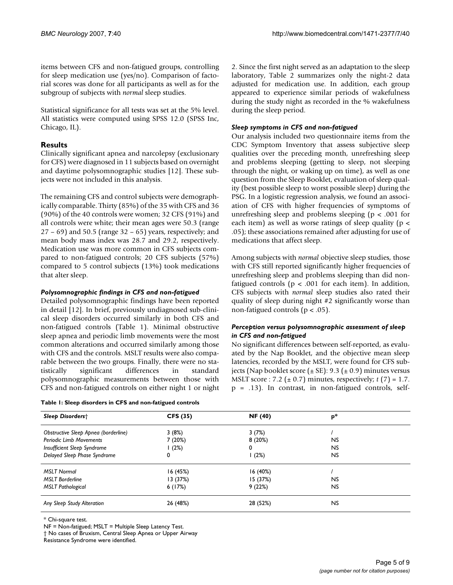items between CFS and non-fatigued groups, controlling for sleep medication use (yes/no). Comparison of factorial scores was done for all participants as well as for the subgroup of subjects with *normal* sleep studies.

Statistical significance for all tests was set at the 5% level. All statistics were computed using SPSS 12.0 (SPSS Inc, Chicago, IL).

# **Results**

Clinically significant apnea and narcolepsy (exclusionary for CFS) were diagnosed in 11 subjects based on overnight and daytime polysomnographic studies [12]. These subjects were not included in this analysis.

The remaining CFS and control subjects were demographically comparable. Thirty (85%) of the 35 with CFS and 36 (90%) of the 40 controls were women; 32 CFS (91%) and all controls were white; their mean ages were 50.3 (range 27 – 69) and 50.5 (range 32 – 65) years, respectively; and mean body mass index was 28.7 and 29.2, respectively. Medication use was more common in CFS subjects compared to non-fatigued controls; 20 CFS subjects (57%) compared to 5 control subjects (13%) took medications that alter sleep.

# *Polysomnographic findings in CFS and non-fatigued*

Detailed polysomnographic findings have been reported in detail [12]. In brief, previously undiagnosed sub-clinical sleep disorders occurred similarly in both CFS and non-fatigued controls (Table 1). Minimal obstructive sleep apnea and periodic limb movements were the most common alterations and occurred similarly among those with CFS and the controls. MSLT results were also comparable between the two groups. Finally, there were no statistically significant differences in standard polysomnographic measurements between those with CFS and non-fatigued controls on either night 1 or night

| Table 1: Sleep disorders in CFS and non-fatigued controls |  |  |  |  |
|-----------------------------------------------------------|--|--|--|--|
|-----------------------------------------------------------|--|--|--|--|

2. Since the first night served as an adaptation to the sleep laboratory, Table 2 summarizes only the night-2 data adjusted for medication use. In addition, each group appeared to experience similar periods of wakefulness during the study night as recorded in the % wakefulness during the sleep period.

# *Sleep symptoms in CFS and non-fatigued*

Our analysis included two questionnaire items from the CDC Symptom Inventory that assess subjective sleep qualities over the preceding month, unrefreshing sleep and problems sleeping (getting to sleep, not sleeping through the night, or waking up on time), as well as one question from the Sleep Booklet, evaluation of sleep quality (best possible sleep to worst possible sleep) during the PSG. In a logistic regression analysis, we found an association of CFS with higher frequencies of symptoms of unrefreshing sleep and problems sleeping (p < .001 for each item) as well as worse ratings of sleep quality ( $p <$ .05); these associations remained after adjusting for use of medications that affect sleep.

Among subjects with *normal* objective sleep studies, those with CFS still reported significantly higher frequencies of unrefreshing sleep and problems sleeping than did nonfatigued controls ( $p < .001$  for each item). In addition, CFS subjects with *normal* sleep studies also rated their quality of sleep during night #2 significantly worse than non-fatigued controls (p < .05).

# *Perception versus polysomnographic assessment of sleep in CFS and non-fatigued*

No significant differences between self-reported, as evaluated by the Nap Booklet, and the objective mean sleep latencies, recorded by the MSLT, were found for CFS subjects (Nap booklet score  $(\pm \text{ SE})$ : 9.3  $(\pm 0.9)$  minutes versus MSLT score : 7.2 ( $\pm$  0.7) minutes, respectively;  $t$  (7) = 1.7. p = .13). In contrast, in non-fatigued controls, self-

| Sleep Disorderst                     | <b>CFS (35)</b> | <b>NF</b> (40) | $p*$      |  |
|--------------------------------------|-----------------|----------------|-----------|--|
| Obstructive Sleep Apnea (borderline) | 3(8%)           | 3(7%)          |           |  |
| <b>Periodic Limb Movements</b>       | 7(20%)          | 8(20%)         | NS.       |  |
| Insufficient Sleep Syndrome          | l (2%)          | 0              | <b>NS</b> |  |
| Delayed Sleep Phase Syndrome         | 0               | 1(2%)          | NS.       |  |
| MSLT Normal                          | 16(45%)         | 16(40%)        |           |  |
| <b>MSLT Borderline</b>               | 13 (37%)        | 15 (37%)       | <b>NS</b> |  |
| <b>MSLT Pathological</b>             | 6(17%)          | 9(22%)         | <b>NS</b> |  |
| Any Sleep Study Alteration           | 26 (48%)        | 28 (52%)       | <b>NS</b> |  |

\* Chi-square test.

† No cases of Bruxism, Central Sleep Apnea or Upper Airway

Resistance Syndrome were identified.

NF = Non-fatigued; MSLT = Multiple Sleep Latency Test.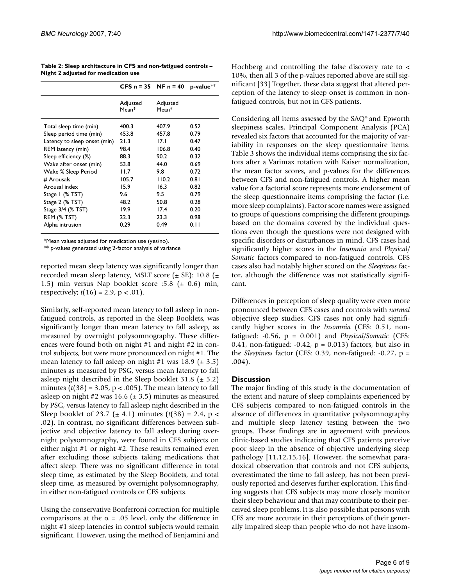|                              | $CFS n = 35$ NF $n = 40$ |                   | $p-value$ |
|------------------------------|--------------------------|-------------------|-----------|
|                              | Adjusted<br>Mean*        | Adjusted<br>Mean* |           |
| Total sleep time (min)       | 400.3                    | 407.9             | 0.52      |
| Sleep period time (min)      | 453.8                    | 457.8             | 0.79      |
| Latency to sleep onset (min) | 21.3                     | 17.1              | 0.47      |
| REM latency (min)            | 98.4                     | 106.8             | 0.40      |
| Sleep efficiency (%)         | 88.3                     | 90.2              | 0.32      |
| Wake after onset (min)       | 53.8                     | 44.0              | 0.69      |
| Wake % Sleep Period          | 11.7                     | 9.8               | 0.72      |
| # Arousals                   | 105.7                    | 110.2             | 0.81      |
| Arousal index                | 15.9                     | 16.3              | 0.82      |
| Stage I (% TST)              | 9.6                      | 9.5               | 0.79      |
| Stage 2 (% TST)              | 48.2                     | 50.8              | 0.28      |
| Stage 3/4 (% TST)            | 19.9                     | 17.4              | 0.20      |
| REM (% TST)                  | 22.3                     | 23.3              | 0.98      |
| Alpha intrusion              | 0.29                     | 0.49              | 0.11      |

**Table 2: Sleep architecture in CFS and non-fatigued controls – Night 2 adjusted for medication use**

\*Mean values adjusted for medication use (yes/no).

\*\* p-values generated using 2-factor analysis of variance

reported mean sleep latency was significantly longer than recorded mean sleep latency, MSLT score (± SE): 10.8 (± 1.5) min versus Nap booklet score :5.8 ( $\pm$  0.6) min, respectively;  $t(16) = 2.9$ ,  $p < .01$ ).

Similarly, self-reported mean latency to fall asleep in nonfatigued controls, as reported in the Sleep Booklets, was significantly longer than mean latency to fall asleep, as measured by overnight polysomnography. These differences were found both on night #1 and night #2 in control subjects, but were more pronounced on night #1. The mean latency to fall asleep on night #1 was 18.9 ( $\pm$  3.5) minutes as measured by PSG, versus mean latency to fall asleep night described in the Sleep booklet  $31.8 \ (\pm 5.2)$ minutes  $(t(38) = 3.05, p < .005)$ . The mean latency to fall asleep on night #2 was 16.6 ( $\pm$  3.5) minutes as measured by PSG, versus latency to fall asleep night described in the Sleep booklet of 23.7 ( $\pm$  4.1) minutes ( $t(38) = 2.4$ ,  $p <$ .02). In contrast, no significant differences between subjective and objective latency to fall asleep during overnight polysomnography, were found in CFS subjects on either night #1 or night #2. These results remained even after excluding those subjects taking medications that affect sleep. There was no significant difference in total sleep time, as estimated by the Sleep Booklets, and total sleep time, as measured by overnight polysomnography, in either non-fatigued controls or CFS subjects.

Using the conservative Bonferroni correction for multiple comparisons at the  $\alpha$  = .05 level, only the difference in night #1 sleep latencies in control subjects would remain significant. However, using the method of Benjamini and

Hochberg and controlling the false discovery rate to < 10%, then all 3 of the p-values reported above are still significant [33] Together, these data suggest that altered perception of the latency to sleep onset is common in nonfatigued controls, but not in CFS patients.

Considering all items assessed by the  $SAQ<sup>°</sup>$  and Epworth sleepiness scales, Principal Component Analysis (PCA) revealed six factors that accounted for the majority of variability in responses on the sleep questionnaire items. Table 3 shows the individual items comprising the six factors after a Varimax rotation with Kaiser normalization, the mean factor scores, and p-values for the differences between CFS and non-fatigued controls. A higher mean value for a factorial score represents more endorsement of the sleep questionnaire items comprising the factor (i.e. more sleep complaints). Factor score names were assigned to groups of questions comprising the different groupings based on the domains covered by the individual questions even though the questions were not designed with specific disorders or disturbances in mind. CFS cases had significantly higher scores in the *Insomnia* and *Physical/ Somatic* factors compared to non-fatigued controls. CFS cases also had notably higher scored on the *Sleepiness* factor, although the difference was not statistically significant.

Differences in perception of sleep quality were even more pronounced between CFS cases and controls with *normal* objective sleep studies. CFS cases not only had significantly higher scores in the *Insomnia* (CFS: 0.51, nonfatigued: -0.56, p = 0.001) and *Physical/Somatic* (CFS: 0.41, non-fatigued:  $-0.42$ ,  $p = 0.013$ ) factors, but also in the *Sleepiness* factor (CFS: 0.39, non-fatigued: -0.27, p = .004).

# **Discussion**

The major finding of this study is the documentation of the extent and nature of sleep complaints experienced by CFS subjects compared to non-fatigued controls in the absence of differences in quantitative polysomnography and multiple sleep latency testing between the two groups. These findings are in agreement with previous clinic-based studies indicating that CFS patients perceive poor sleep in the absence of objective underlying sleep pathology [11,12,15,16]. However, the somewhat paradoxical observation that controls and not CFS subjects, overestimated the time to fall asleep, has not been previously reported and deserves further exploration. This finding suggests that CFS subjects may more closely monitor their sleep behaviour and that may contribute to their perceived sleep problems. It is also possible that persons with CFS are more accurate in their perceptions of their generally impaired sleep than people who do not have insom-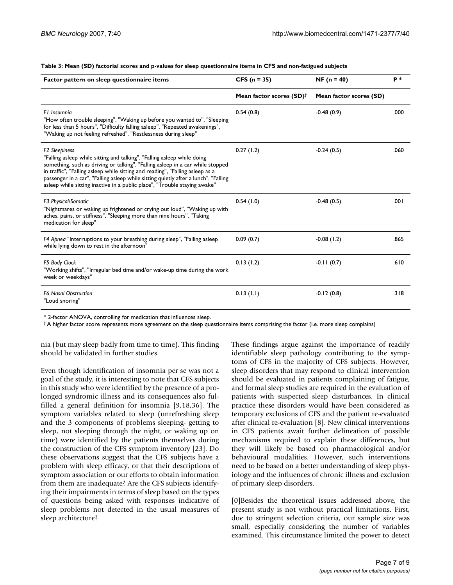| Table 3: Mean (SD) factorial scores and p-values for sleep questionnaire items in CFS and non-fatigued subjects |  |  |  |
|-----------------------------------------------------------------------------------------------------------------|--|--|--|
|-----------------------------------------------------------------------------------------------------------------|--|--|--|

| Factor pattern on sleep questionnaire items                                                                                                                                                                                                                                                                                                                                                                                            | $CFS (n = 35)$                       | $NF (n = 40)$           | $P*$ |
|----------------------------------------------------------------------------------------------------------------------------------------------------------------------------------------------------------------------------------------------------------------------------------------------------------------------------------------------------------------------------------------------------------------------------------------|--------------------------------------|-------------------------|------|
|                                                                                                                                                                                                                                                                                                                                                                                                                                        | Mean factor scores (SD) <sup>†</sup> | Mean factor scores (SD) |      |
| F1 Insomnia<br>"How often trouble sleeping", "Waking up before you wanted to", "Sleeping<br>for less than 5 hours", "Difficulty falling asleep", "Repeated awakenings",<br>"Waking up not feeling refreshed", "Restlessness during sleep"                                                                                                                                                                                              | 0.54(0.8)                            | $-0.48(0.9)$            | .000 |
| <b>F2 Sleepiness</b><br>"Falling asleep while sitting and talking", "Falling asleep while doing<br>something, such as driving or talking", "Falling asleep in a car while stopped<br>in traffic", "Falling asleep while sitting and reading", "Falling asleep as a<br>passenger in a car", "Falling asleep while sitting quietly after a lunch", "Falling<br>asleep while sitting inactive in a public place", "Trouble staying awake" | 0.27(1.2)                            | $-0.24(0.5)$            | .060 |
| F3 Physical/Somatic<br>"Nightmares or waking up frightened or crying out loud", "Waking up with<br>aches, pains, or stiffness", "Sleeping more than nine hours", "Taking<br>medication for sleep"                                                                                                                                                                                                                                      | 0.54(1.0)                            | $-0.48(0.5)$            | .001 |
| F4 Apnea "Interruptions to your breathing during sleep", "Falling asleep<br>while lying down to rest in the afternoon"                                                                                                                                                                                                                                                                                                                 | 0.09(0.7)                            | $-0.08(1.2)$            | .865 |
| F5 Body Clock<br>"Working shifts", "Irregular bed time and/or wake-up time during the work<br>week or weekdays"                                                                                                                                                                                                                                                                                                                        | 0.13(1.2)                            | $-0.11(0.7)$            | .610 |
| <b>F6 Nasal Obstruction</b><br>"Loud snoring"                                                                                                                                                                                                                                                                                                                                                                                          | 0.13(1.1)                            | $-0.12(0.8)$            | .318 |

\* 2-factor ANOVA, controlling for medication that influences sleep.

† A higher factor score represents more agreement on the sleep questionnaire items comprising the factor (i.e. more sleep complains)

nia (but may sleep badly from time to time). This finding should be validated in further studies.

Even though identification of insomnia per se was not a goal of the study, it is interesting to note that CFS subjects in this study who were identified by the presence of a prolonged syndromic illness and its consequences also fulfilled a general definition for insomnia [9,18,36]. The symptom variables related to sleep (unrefreshing sleep and the 3 components of problems sleeping- getting to sleep, not sleeping through the night, or waking up on time) were identified by the patients themselves during the construction of the CFS symptom inventory [23]. Do these observations suggest that the CFS subjects have a problem with sleep efficacy, or that their descriptions of symptom association or our efforts to obtain information from them are inadequate? Are the CFS subjects identifying their impairments in terms of sleep based on the types of questions being asked with responses indicative of sleep problems not detected in the usual measures of sleep architecture?

These findings argue against the importance of readily identifiable sleep pathology contributing to the symptoms of CFS in the majority of CFS subjects. However, sleep disorders that may respond to clinical intervention should be evaluated in patients complaining of fatigue, and formal sleep studies are required in the evaluation of patients with suspected sleep disturbances. In clinical practice these disorders would have been considered as temporary exclusions of CFS and the patient re-evaluated after clinical re-evaluation [8]. New clinical interventions in CFS patients await further delineation of possible mechanisms required to explain these differences, but they will likely be based on pharmacological and/or behavioural modalities. However, such interventions need to be based on a better understanding of sleep physiology and the influences of chronic illness and exclusion of primary sleep disorders.

[0]Besides the theoretical issues addressed above, the present study is not without practical limitations. First, due to stringent selection criteria, our sample size was small, especially considering the number of variables examined. This circumstance limited the power to detect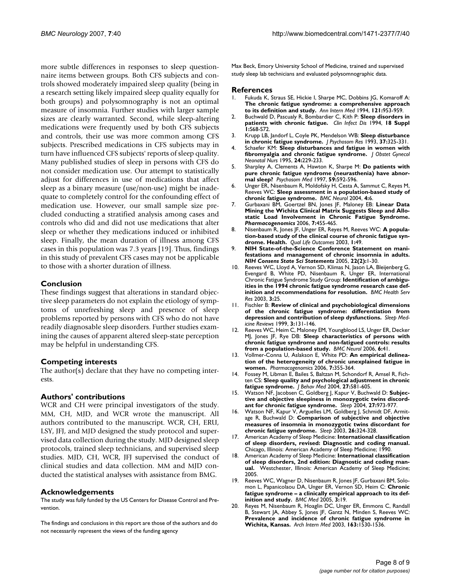more subtle differences in responses to sleep questionnaire items between groups. Both CFS subjects and controls showed moderately impaired sleep quality (being in a research setting likely impaired sleep quality equally for both groups) and polysomnography is not an optimal measure of insomnia. Further studies with larger sample sizes are clearly warranted. Second, while sleep-altering medications were frequently used by both CFS subjects and controls, their use was more common among CFS subjects. Prescribed medications in CFS subjects may in turn have influenced CFS subjects' reports of sleep quality. Many published studies of sleep in persons with CFS do not consider medication use. Our attempt to statistically adjust for differences in use of medications that affect sleep as a binary measure (use/non-use) might be inadequate to completely control for the confounding effect of medication use. However, our small sample size precluded conducting a stratified analysis among cases and controls who did and did not use medications that alter sleep or whether they medications induced or inhibited sleep. Finally, the mean duration of illness among CFS cases in this population was 7.3 years [19]. Thus, findings in this study of prevalent CFS cases may not be applicable to those with a shorter duration of illness.

# **Conclusion**

These findings suggest that alterations in standard objective sleep parameters do not explain the etiology of symptoms of unrefreshing sleep and presence of sleep problems reported by persons with CFS who do not have readily diagnosable sleep disorders. Further studies examining the causes of apparent altered sleep-state perception may be helpful in understanding CFS.

#### **Competing interests**

The author(s) declare that they have no competing interests.

#### **Authors' contributions**

WCR and CH were principal investigators of the study. MM, CH, MJD, and WCR wrote the manuscript. All authors contributed to the manuscript. WCR, CH, ERU, LSY, JFJ, and MJD designed the study protocol and supervised data collection during the study. MJD designed sleep protocols, trained sleep technicians, and supervised sleep studies. MJD, CH, WCR, JFJ supervised the conduct of clinical studies and data collection. MM and MJD conducted the statistical analyses with assistance from BMG.

#### **Acknowledgements**

The study was fully funded by the US Centers for Disease Control and Prevention.

The findings and conclusions in this report are those of the authors and do not necessarily represent the views of the funding agency

Max Beck, Emory University School of Medicine, trained and supervised study sleep lab technicians and evaluated polysomnographic data.

#### **References**

- 1. Fukuda K, Straus SE, Hickie I, Sharpe MC, Dobbins JG, Komaroff A: **[The chronic fatigue syndrome: a comprehensive approach](http://www.ncbi.nlm.nih.gov/entrez/query.fcgi?cmd=Retrieve&db=PubMed&dopt=Abstract&list_uids=7978722) [to its definition and study.](http://www.ncbi.nlm.nih.gov/entrez/query.fcgi?cmd=Retrieve&db=PubMed&dopt=Abstract&list_uids=7978722)** *Ann Intern Med* 1994, **121:**953-959.
- 2. Buchwald D, Pascualy R, Bombardier C, Kith P: **[Sleep disorders in](http://www.ncbi.nlm.nih.gov/entrez/query.fcgi?cmd=Retrieve&db=PubMed&dopt=Abstract&list_uids=8148456) [patients with chronic fatigue.](http://www.ncbi.nlm.nih.gov/entrez/query.fcgi?cmd=Retrieve&db=PubMed&dopt=Abstract&list_uids=8148456)** *Clin Infect Dis* 1994, **18 Suppl 1:**S68-S72.
- 3. Krupp LB, Jandorf L, Coyle PK, Mendelson WB: **[Sleep disturbance](http://www.ncbi.nlm.nih.gov/entrez/query.fcgi?cmd=Retrieve&db=PubMed&dopt=Abstract&list_uids=8510058) [in chronic fatigue syndrome.](http://www.ncbi.nlm.nih.gov/entrez/query.fcgi?cmd=Retrieve&db=PubMed&dopt=Abstract&list_uids=8510058)** *J Psychosom Res* 1993, **37:**325-331.
- 4. Schaefer KM: **[Sleep disturbances and fatigue in women with](http://www.ncbi.nlm.nih.gov/entrez/query.fcgi?cmd=Retrieve&db=PubMed&dopt=Abstract&list_uids=7782955) [fibromyalgia and chronic fatigue syndrome.](http://www.ncbi.nlm.nih.gov/entrez/query.fcgi?cmd=Retrieve&db=PubMed&dopt=Abstract&list_uids=7782955)** *J Obstet Gynecol Neonatal Nurs* 1995, **24:**229-233.
- 5. Sharpley A, Clements A, Hawton K, Sharpe M: **[Do patients with](http://www.ncbi.nlm.nih.gov/entrez/query.fcgi?cmd=Retrieve&db=PubMed&dopt=Abstract&list_uids=9407577) [pure chronic fatigue syndrome \(neurasthenia\) have abnor](http://www.ncbi.nlm.nih.gov/entrez/query.fcgi?cmd=Retrieve&db=PubMed&dopt=Abstract&list_uids=9407577)[mal sleep?](http://www.ncbi.nlm.nih.gov/entrez/query.fcgi?cmd=Retrieve&db=PubMed&dopt=Abstract&list_uids=9407577)** *Psychosom Med* 1997, **59:**592-596.
- 6. Unger ER, Nisenbaum R, Moldofsky H, Cesta A, Sammut C, Reyes M, Reeves WC: **[Sleep assessment in a population-based study of](http://www.ncbi.nlm.nih.gov/entrez/query.fcgi?cmd=Retrieve&db=PubMed&dopt=Abstract&list_uids=15096280) [chronic fatigue syndrome.](http://www.ncbi.nlm.nih.gov/entrez/query.fcgi?cmd=Retrieve&db=PubMed&dopt=Abstract&list_uids=15096280)** *BMC Neurol* 2004, **4:**6.
- 7. Gurbaxani BM, Goertzel BN, Jones JF, Maloney EB: **[Linear Data](http://www.ncbi.nlm.nih.gov/entrez/query.fcgi?cmd=Retrieve&db=PubMed&dopt=Abstract&list_uids=16610955) [Mining the Wichita Clinical Matrix Suggests Sleep and Allo](http://www.ncbi.nlm.nih.gov/entrez/query.fcgi?cmd=Retrieve&db=PubMed&dopt=Abstract&list_uids=16610955)static Load Involvement in Chronic Fatigue Syndrome.** *Pharmacogenomics* 2006, **7:**455-465.
- 8. Nisenbaum R, Jones JF, Unger ER, Reyes M, Reeves WC: **A population-based study of the clinical course of chronic fatigue syndrome. Health.** *Qual Life Outcomes* 2003, **1:**49.
- 9. **NIH State-of-the-Science Conference Statement on manifestations and management of chronic insomnia in adults.** *NIH Consens State Sci Statements* 2005, **22(2):**1-30.
- 10. Reeves WC, Lloyd A, Vernon SD, Klimas N, Jason LA, Bleijenberg G, Evengard B, White PD, Nisenbaum R, Unger ER, International Chronic Fatigue Syndrome Study Group: **[Identification of ambigu](http://www.ncbi.nlm.nih.gov/entrez/query.fcgi?cmd=Retrieve&db=PubMed&dopt=Abstract&list_uids=14702202)[ities in the 1994 chronic fatigue syndrome research case def](http://www.ncbi.nlm.nih.gov/entrez/query.fcgi?cmd=Retrieve&db=PubMed&dopt=Abstract&list_uids=14702202)[inition and recommendations for resolution.](http://www.ncbi.nlm.nih.gov/entrez/query.fcgi?cmd=Retrieve&db=PubMed&dopt=Abstract&list_uids=14702202)** *BMC Health Serv Res* 2003, **3:**25.
- 11. Fischler B: **[Review of clinical and psychobiological dimensions](http://www.ncbi.nlm.nih.gov/entrez/query.fcgi?cmd=Retrieve&db=PubMed&dopt=Abstract&list_uids=15310482) [of the chronic fatigue syndrome: differentiation from](http://www.ncbi.nlm.nih.gov/entrez/query.fcgi?cmd=Retrieve&db=PubMed&dopt=Abstract&list_uids=15310482) [depression and contribution of sleep dysfunctions.](http://www.ncbi.nlm.nih.gov/entrez/query.fcgi?cmd=Retrieve&db=PubMed&dopt=Abstract&list_uids=15310482)** *Sleep Medicine Reviews* 1999, **3:**131-146.
- 12. Reeves WC, Heim C, Maloney EM, Youngblood LS, Unger ER, Decker MJ, Jones JF, Rye DB: **[Sleep characteristics of persons with](http://www.ncbi.nlm.nih.gov/entrez/query.fcgi?cmd=Retrieve&db=PubMed&dopt=Abstract&list_uids=17109739) [chronic fatigue syndrome and non-fatigued controls: results](http://www.ncbi.nlm.nih.gov/entrez/query.fcgi?cmd=Retrieve&db=PubMed&dopt=Abstract&list_uids=17109739) [from a population-based study.](http://www.ncbi.nlm.nih.gov/entrez/query.fcgi?cmd=Retrieve&db=PubMed&dopt=Abstract&list_uids=17109739)** *BMC Neurol* 2006, **6:**41.
- 13. Vollmer-Conna U, Aslakson E, White PD: **[An empirical delinea](http://www.ncbi.nlm.nih.gov/entrez/query.fcgi?cmd=Retrieve&db=PubMed&dopt=Abstract&list_uids=16610946)[tion of the heterogeneity of chronic unexplained fatigue in](http://www.ncbi.nlm.nih.gov/entrez/query.fcgi?cmd=Retrieve&db=PubMed&dopt=Abstract&list_uids=16610946) [women.](http://www.ncbi.nlm.nih.gov/entrez/query.fcgi?cmd=Retrieve&db=PubMed&dopt=Abstract&list_uids=16610946)** *Pharmacogenomics* 2006, **7:**355-364.
- 14. Fossey M, Libman E, Bailes S, Baltzan M, Schondorf R, Amsel R, Fichten CS: **[Sleep quality and psychological adjustment in chronic](http://www.ncbi.nlm.nih.gov/entrez/query.fcgi?cmd=Retrieve&db=PubMed&dopt=Abstract&list_uids=15669445) [fatigue syndrome.](http://www.ncbi.nlm.nih.gov/entrez/query.fcgi?cmd=Retrieve&db=PubMed&dopt=Abstract&list_uids=15669445)** *J Behav Med* 2004, **27:**581-605.
- 15. Watson NF, Jacobsen C, Goldberg J, Kapur V, Buchwald D: **[Subjec](http://www.ncbi.nlm.nih.gov/entrez/query.fcgi?cmd=Retrieve&db=PubMed&dopt=Abstract&list_uids=15453557)[tive and objective sleepiness in monozygotic twins discord](http://www.ncbi.nlm.nih.gov/entrez/query.fcgi?cmd=Retrieve&db=PubMed&dopt=Abstract&list_uids=15453557)[ant for chronic fatigue syndrome.](http://www.ncbi.nlm.nih.gov/entrez/query.fcgi?cmd=Retrieve&db=PubMed&dopt=Abstract&list_uids=15453557)** *Sleep* 2004, **27:**973-977.
- 16. Watson NF, Kapur V, Arguelles LM, Goldberg J, Schmidt DF, Armitage R, Buchwald D: **[Comparison of subjective and objective](http://www.ncbi.nlm.nih.gov/entrez/query.fcgi?cmd=Retrieve&db=PubMed&dopt=Abstract&list_uids=12749553) [measures of insomnia in monozygotic twins discordant for](http://www.ncbi.nlm.nih.gov/entrez/query.fcgi?cmd=Retrieve&db=PubMed&dopt=Abstract&list_uids=12749553) [chronic fatigue syndrome.](http://www.ncbi.nlm.nih.gov/entrez/query.fcgi?cmd=Retrieve&db=PubMed&dopt=Abstract&list_uids=12749553)** *Sleep* 2003, **26:**324-328.
- 17. American Academy of Sleep Medicine: **International classification of sleep disorders, revised: Diagnostic and coding manual.** Chicago, Illinois: American Academy of Sleep Medicine; 1990.
- 18. American Academy of Sleep Medicine: **International classification of sleep disorders, 2nd edition: Diagnostic and coding manual.** Westchester, Illinois: American Academy of Sleep Medicine; 2005.
- 19. Reeves WC, Wagner D, Nisenbaum R, Jones JF, Gurbaxani BM, Solomon L, Papanicolaou DA, Unger ER, Vernon SD, Heim C: **[Chronic](http://www.ncbi.nlm.nih.gov/entrez/query.fcgi?cmd=Retrieve&db=PubMed&dopt=Abstract&list_uids=16356178) [fatigue syndrome – a clinically empirical approach to its def](http://www.ncbi.nlm.nih.gov/entrez/query.fcgi?cmd=Retrieve&db=PubMed&dopt=Abstract&list_uids=16356178)[inition and study.](http://www.ncbi.nlm.nih.gov/entrez/query.fcgi?cmd=Retrieve&db=PubMed&dopt=Abstract&list_uids=16356178)** *BMC Med* 2005, **3:**19.
- 20. Reyes M, Nisenbaum R, Hoaglin DC, Unger ER, Emmons C, Randall B, Stewart JA, Abbey S, Jones JF, Gantz N, Minden S, Reeves WC: **[Prevalence and incidence of chronic fatigue syndrome in](http://www.ncbi.nlm.nih.gov/entrez/query.fcgi?cmd=Retrieve&db=PubMed&dopt=Abstract&list_uids=12860574) [Wichita, Kansas.](http://www.ncbi.nlm.nih.gov/entrez/query.fcgi?cmd=Retrieve&db=PubMed&dopt=Abstract&list_uids=12860574)** *Arch Intern Med* 2003, **163:**1530-1536.